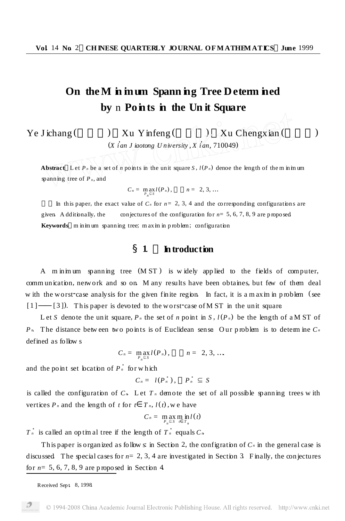# **On theM in imum Spann ing Tree Determ ined by** n **Poin ts in the Un it Square**

 $Ye Jichang ($  )  $Xu Yinfeng ($   $)$   $Xu Chengxian ($ 

 $(X \text{ i'an } J \text{ isotong } U \text{ niversity }$ ,  $X \text{ i'an}, 710049)$ 

**Abstract** Let  $P_n$  be a set of *n* points in the unit square *S*,  $l(P_n)$  denoe the length of the m in imum spanning tree of  $P_n$ , and

$$
C_n = \max_{P_n \subseteq S} l(P_n), \qquad n = 2, 3, \ldots
$$

In this paper, the exact value of  $C_n$  for  $n=2, 3, 4$  and the corresponding configurations are given. A dditionally, the conjectures of the configuration for  $n= 5, 6, 7, 8, 9$  are proposed. **Keywords** m inim um spanning tree; m axim in p roblem; configuration

## §**1**. **In troduction**

A m inim um spanning tree (M ST ) is w idely app lied to the fields of computer, communication, nerwork and so on. M any results have been obtaines, but few of them deal w ith the worst-case analysis for the given finite region. In fact, it is a m axim in problem (see  $[1]$ — $[3]$ ). This paper is devoted to the worst-case of M ST in the unit square.

Let *S* denote the unit square,  $P_n$  the set of *n* point in *S*,  $l(P_n)$  be the length of a M ST of  $P_n$ . The distance between two points is of Euclidean sense. Our problem is to determ ine  $C_n$ defined as follow s

$$
C_n = \max_{P_n \subseteq S} l(P_n), \qquad n = 2, 3, ...
$$

and the point set location of  $P_n$  for which

$$
C_n = l(P_n^*), \quad P_n^* \subseteq S
$$

is called the configuration of  $C_n$ . Let  $T_n$  demote the set of all possible spanning trees with vertices  $P_n$  and the length of *t* for  $t$   $T_n$ ,  $l(t)$ , we have

$$
C_n = \max_{P_n \subseteq S} \min_{t} \min_{T_n} l(t)
$$

 $T_n$  is called an optimal tree if the length of  $T_n$  equals  $C_n$ 

This paper is organized as follow s: in Section 2, the configration of  $C<sub>n</sub>$  in the general case is discussed. The special cases for  $n=2, 3, 4$  are investigated in Section 3. Finally, the conjectures for  $n= 5, 6, 7, 8, 9$  are proposed in Section 4.

Received Sept 8, 1998.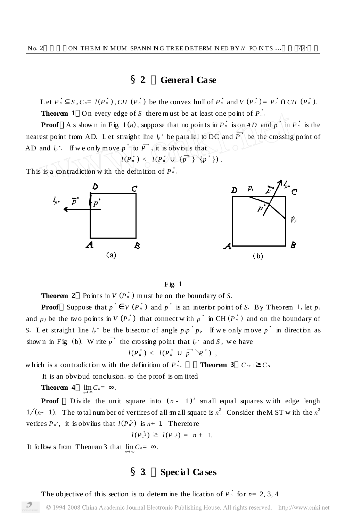## §**2**. **Genera l Ca se**

Let  $P_n^* \subseteq S$ ,  $C_n = l(P_n^*)$ ,  $CH(P_n^*)$  be the convex hull of  $P_n^*$  and  $V(P_n^*) = P_n^*$   $CH(P_n^*)$ . **Theorem 1** On every edge of *S* there must be at least one point of  $P_n$ .

**Proof** A s show n in Fig. 1(a), suppose that no points in  $P_n^*$  is on A D and  $p^*$  in  $P_n^*$  is the nearest point from AD. Let straight line  $l_p$ <sup>\*</sup> be parallel to DC and *P*<sup>\*</sup> be the crossing point of AD and  $l_p$ <sup>\*</sup>. If we only move  $p^*$  to  $P^*$ , it is obvious that

$$
l(P_n^*) < l(P_n^*) \setminus \{\overline{p^*}\} \setminus \{\overline{p^*}\}.
$$

This is a contradiction w ith the definition of  $P_n$ <sup>\*</sup>.



Fig.  $1$ 

**Theorem 2** Points in  $V(P_n^*)$  must be on the boundary of *S*.

**Proof** Suppose that  $p^*$   $V(P_n^*)$  and  $p^*$  is an interior point of *S*. By Theorem 1, let  $p_i$ and  $p_j$  be the two points in  $V(P_n^{\dagger})$  that connect with  $p^{\dagger}$  in CH  $(P_n^{\dagger})$  and on the boundary of S. Let straight line  $l_p$  be the bisector of angle  $p \cdot p \cdot p$ . If we only move  $p \cdot$  in direction as show n in Fig. (b). W rite  $\overrightarrow{p}$  the crossing point that  $l_p$ <sup>+</sup> and *S*, we have

$$
l(P_n^*) < l(P_n^* \quad \overline{p}^* \mathcal{R}^*) \enspace ,
$$

which is a contradiction with the definition of  $P_n$ <sup>2</sup> **Theorem 3**  $C_{n+1}$   $C_n$ 

It is an obvioud conclusion, so the proof is om itted.

**Theorem 4**  $\lim_{n} C_{n} =$  .

**Proof** Divide the unit square into  $(n - 1)^2$  small equal squares with edge lengh  $1/(n-1)$ . The total num ber of vertices of all sm all square is  $n^2$ . Consider theM ST w ith the  $n^2$ vetices  $P_{n^2}$ , it is obviius that  $l(P_{n^2})$  is  $n+1$ . Therefore

$$
l(P_{n}^{*}) \geq l(P_{n}^{2}) = n + 1.
$$

It follows from Theorem 3 that  $\lim_{n} C_n =$ .

## §**3**. **Spec ia l Ca ses**

The objective of this section is to determ ine the lication of  $P_n^*$  for  $n=2, 3, 4$ .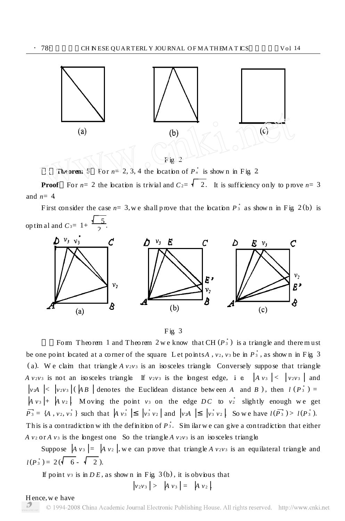

**Theorem 5** For  $n = 2, 3, 4$  the location of  $P_n$  is shown in Fig. 2.

**Proof** For  $n=2$  the beation is trivial and  $C_2 = \sqrt{2}$ . It is sufficiency only to prove  $n=3$ and  $n=4$ .

First consider the case  $n=3$ , we shall prove that the boation  $P_3^*$  as shown in Fig. 2(b) is op tim al and  $C_3 = 1 + \frac{\sqrt{5}}{2}$ .





Form Theorem 1 and Theorem 2 we know that CH  $(P_3^{\dagger})$  is a triangle and theremust be one point beated at a corner of the square. Let points A,  $v_2$ ,  $v_3$  be in  $P_3$ , as shown in Fig. 3 (a). We claim that triangle  $A$  *v*  $2\nu$ <sup>3</sup> is an isosceles triangle. Conversely suppose that triangle *A v*<sub>2</sub>*v*<sup>3</sup> is not an isosceles triangle. If *v*<sub>2</sub>*v*<sup>3</sup> is the longest edge, i.e.  $\begin{vmatrix} A & v_3 \end{vmatrix} \begin{vmatrix} \lt & v_2v_3 \end{vmatrix}$  and  $\left| \nu_{2}A \right| \leq \left| \nu_{2}\nu_{3} \right| \left( \left| AB \right| \right)$  denotes the Euclidean distance between *A* and *B* ), then *l* ( $P_{3}^{*}$ ) = <sup>û</sup>*A v* <sup>3</sup>û<sup>+</sup> <sup>û</sup>*A v* <sup>2</sup>û. M oving the point *<sup>v</sup>* <sup>3</sup> on the edge *D C* to *<sup>v</sup>* 3 <sup>2</sup> sligh tly enough w e get  $\overrightarrow{P_3} = \{A, v_2, v_3^*\}$  such that  $\overrightarrow{A} v_3^* \mid v_3^* v_2$  and  $\overrightarrow{v_4} \mid v_3^* v_2$ . So we have  $l(\overrightarrow{P_3}) > l(P_3^*)$ . This is a contradiction with the definition of  $P_3$ . Similar we can give a contradiction that either *A v* 2 or *A v* 3 is the bngest one. So the triangle *A v* 2*v* 3 is an isosceles triangle.

Suppose  $\begin{vmatrix} A & v_3 \end{vmatrix} = \begin{vmatrix} A & v_2 \end{vmatrix}$ , we can prove that triangle A v<sub>2</sub>*v*<sub>3</sub> is an equilateral triangle and  $l(P_3^{\star}) = 2(\sqrt{6} - \sqrt{2}).$ 

If point  $v_3$  is in  $DE$ , as shown in Fig. 3(b), it is obvious that

$$
|\nu_2\nu_3| > |A \nu_3| = |A \nu_2|
$$

### H ence,w e have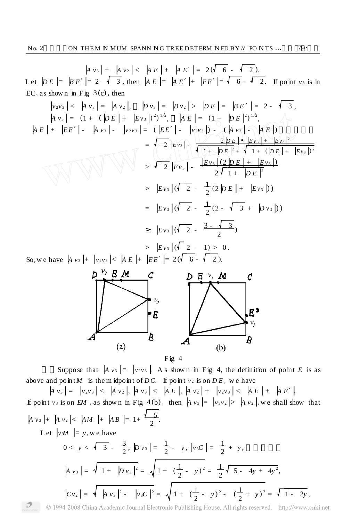Let  $|BE| = |BE| = 2 - \sqrt{3}$ , then  $|AE| = |AE| + |EE| = \sqrt{6 - \sqrt{2}}$ .<br>Let  $|DE| = |BE| = 2 - \sqrt{3}$ , then  $|AE| = |AE| + |EE| = \sqrt{6 - \sqrt{2}}$ . If point  $v_3$  is in EC, as shown in Fig.  $3(c)$ , then

$$
\begin{vmatrix}\nv_{2}v_{3}\n\end{vmatrix} < \quad |\psi_{3}| = |\psi_{1}|, \quad |\psi_{13}| = |\psi_{1}| > |\psi_{2}| > |\psi_{E}| = |\psi_{E}| = 2 - \sqrt{3},
$$
\n
$$
|\psi_{1}| = (1 + (|\psi_{E}| + |\psi_{1}|)^{2})^{1/2}, \quad |\psi_{E}| = (1 + |\psi_{E}|^{2})^{1/2},
$$
\n
$$
|\psi_{1}| = |\psi_{1}| = |\psi_{2}| = |\psi_{2}| = |\psi_{2}| = |\psi_{2}| = |\psi_{2}| = |\psi_{2}| = |\psi_{2}| = |\psi_{2}| = |\psi_{2}| = |\psi_{2}| = |\psi_{2}| = |\psi_{2}| = |\psi_{2}| = |\psi_{2}| = |\psi_{2}| = |\psi_{2}| = |\psi_{2}| = |\psi_{2}| = |\psi_{2}| = |\psi_{2}| = |\psi_{2}| = |\psi_{2}| = |\psi_{2}| = |\psi_{2}| = |\psi_{2}| = |\psi_{2}| = |\psi_{2}| = |\psi_{2}| = |\psi_{2}| = |\psi_{2}| = |\psi_{2}| = |\psi_{2}| = |\psi_{2}| = |\psi_{2}| = |\psi_{2}| = |\psi_{2}| = |\psi_{2}| = |\psi_{2}| = |\psi_{2}| = |\psi_{2}| = |\psi_{2}| = |\psi_{2}| = |\psi_{2}| = |\psi_{2}| = |\psi_{2}| = |\psi_{2}| = |\psi_{2}| = |\psi_{2}| = |\psi_{2}| = |\psi_{2}| = |\psi_{2}| = |\psi_{2}| = |\psi_{2}| = |\psi_{2}| = |\psi_{2}| = |\psi_{2}| = |\psi_{2}| = |\psi_{2}| = |\psi_{2}| = |\psi_{2}| = |\psi_{2}| = |\psi_{2}| = |\psi_{2}| = |\psi_{2}| = |\psi_{2}| = |\psi_{2}| = |\psi_{2}| = |\psi_{2}| = |\psi_{2}| = |\psi_{2}| = |\psi_{2}| = |\psi_{2}| = |\psi_{2}| = |\psi_{2}| = |\psi_{2}| = |\psi_{2}| = |\psi_{2}| = |\psi_{2}| = |\psi_{2}| = |\psi_{2}| = |\psi_{2}| = |\psi_{2}| = |\psi_{2}| = |\psi_{2}| = |\psi_{2}| = |\psi_{2}| = |\psi_{2}| = |\psi_{2}| = |\psi_{2}| = |\psi_{2}| = |\psi_{2}| = |\psi_{2}| = |\psi_{2}| = |\psi_{2}| = |\psi_{2}| = |\psi_{2}| = |\psi_{2}| = |\psi_{2}| = |\psi_{2}| = |\
$$

So, we have  $|A v_3| + |v_2 v_3| < |A E| + |E E| = 2(\sqrt{6} - \sqrt{2}).$ 





Suppose that  $|A v_3| = |v_2 v_3|$  As shown in Fig. 4, the definition of point E is as above and point M is them idpoint of DC. If point  $v_2$  is on DE, we have

 $|A v_3| = |v_2 v_3| < |A v_2|, |A v_3| < |A E|, |A v_2| + |v_2 v_3| < |A E| + |A E|.$ If point v<sub>3</sub> is on EM, as shown in Fig. 4(b), then  $\left| A \right| v_3 \left| = \left| v_3 v_2 \right| > \left| A \right| v_2 \right|$ , we shall show that  $|A v_3| + |A v_2| < |A M| + |A B| = 1 + \frac{\sqrt{5}}{2}$ Let  $|v \mathcal{M}| = v$ , we have  $0 < y < \sqrt{3} - \frac{3}{2}$ ,  $|D v_3| = \frac{1}{2} - y$ ,  $|v_3C| = \frac{1}{2} + y$ ,  $|A v_3| = \sqrt{1 + |D v_3|^2} = \sqrt{1 + (\frac{1}{2} - y)^2} = \frac{1}{2} \sqrt{5 - 4y + 4y^2}$ 

 $|Cv_2| = \sqrt{|Av_3|^2 - |v_3C|^2} = \sqrt{1 + (\frac{1}{2} - y)^2 - (\frac{1}{2} + y)^2} = \sqrt{1 - 2y},$ 

© 1994-2008 China Academic Journal Electronic Publishing House. All rights reserved. http://www.cnki.net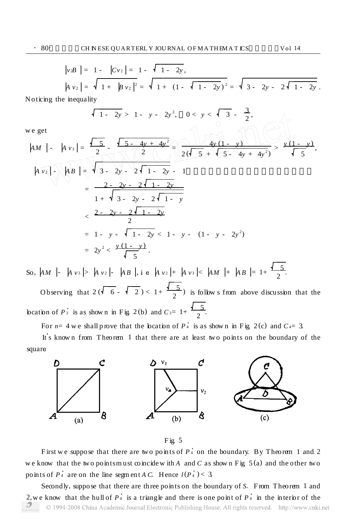$$
\begin{aligned}\n\left| \nu_{2} B \right| &= 1 - \left| C \nu_{2} \right| = 1 - \sqrt{1 - 2y}, \\
\left| A \nu_{2} \right| &= \sqrt{1 + \left| B \nu_{2} \right|^{2}} = \sqrt{1 + (1 - \sqrt{1 - 2y})^{2}} = \sqrt{3 - 2y - 2\sqrt{1 - 2y}}.\n\end{aligned}
$$

Noticing the inequality

 $\sqrt{1-2y} > 1 - y - 2y^2, \quad 0 < y < \sqrt{3} - \frac{3}{2},$  $7 - 3702$ 

we get

$$
|AM| - |A v_3| = \frac{\sqrt{5}}{2} - \frac{\sqrt{5} - 4y + 4y^2}{2} \times \frac{4y(1 - y)}{2(1 - y)} \times \frac{y(1 - y)}{\sqrt{5}},
$$
  
\n
$$
|A v_2| - |AB| = \sqrt{3 - 2y - 2\sqrt{1 - 2y} - 1}
$$
  
\n
$$
= \frac{2 - 2y - 2\sqrt{1 - 2y}}{1 + \sqrt{3 - 2y - 2\sqrt{1 - y}}}
$$
  
\n
$$
< \frac{2 - 2y - 2\sqrt{1 - 2y}}{2}
$$
  
\n
$$
= 1 - y - \sqrt{1 - 2y} < 1 - y - (1 - y - 2y^2)
$$
  
\n
$$
= 2y^2 < \frac{y(1 - y)}{\sqrt{5}}.
$$

So,  $|M|$ -  $|A v_3|$ >  $|A v_2|$ -  $|AB|$ , i e  $|A v_2|$ +  $|A v_3|$ <  $|AM|$ +  $|AB|$ = 1+  $\frac{\sqrt{5}}{2}$ .

Observing that  $2(\sqrt{6} - \sqrt{2}) < 1 + \frac{\sqrt{5}}{2}$  is follows from above discussion that the bcation of  $P_3^*$  is as shown in Fig 2(b) and  $C_3 = 1 + \frac{\sqrt{5}}{2}$ .

For  $n=4$  we shall prove that the location of  $P_4^*$  is as shown in Fig. 2(c) and  $C_4=3$ 

It's known from Theorem 1 that there are at least two points on the boundary of the square



Fig.  $5$ 

First we suppose that there are two points of  $P_4^*$  on the boundary. By Theorem 1 and 2 we know that the two points must coincide with A and C as shown Fig  $5(a)$  and the other two points of  $P_4^*$  are on the line segment A C. Hence  $l(P_4^*)$  < 3

Secondly, suppose that there are three points on the boundary of S. From Theorem 1 and 2, we know that the hull of  $P_4^*$  is a triangle and there is one point of  $P_4^*$  in the interior of the © 1994-2008 China Academic Journal Electronic Publishing House. All rights reserved. http://www.cnki.net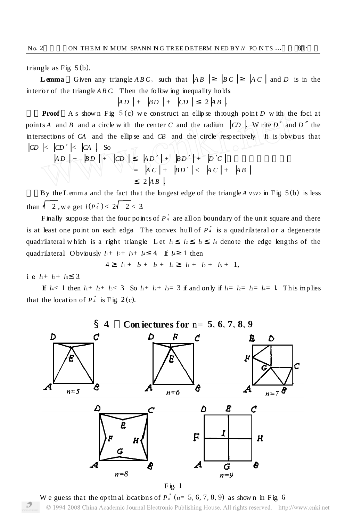triangle as Fig.  $5(b)$ .

 $|BC|$   $|AC|$  and  $D$  is in the **Lemma** Given any triangle ABC, such that  $AB$ interior of the triangle  $AB C$ . Then the following inequality holds

$$
AD \mid + \mid BD \mid + \mid CD \mid 2AB \mid
$$

As shown Fig. 5 (c) we construct an ellipse through point D with the foci at **Proof** points A and B and a circle with the center C and the radium  $|CD|$ . W rite D and D the intersections of CA and the ellipse and CB and the circle respectively. It is obvious that  $|CD| < |CD| < |CA|$  So

By the Lemma and the fact that the bngest edge of the triangle A  $v_3v_2$  in Fig. 5(b) is less than  $\sqrt{2}$ , we get  $l(P_4^*) < 2\sqrt{2} < 3$ .

Finally suppose that the four points of  $P_4^*$  are all on boundary of the unit square and there is at least one point on each edge The convex hull of  $P_4^*$  is a quadrilateral or a degenerate quadrilateral which is a right triangle Let  $l_1$  $l_2$   $l_3$   $l_4$  denote the edge lengths of the quadrilateral Obviously  $l_1 + l_2 + l_3 + l_4$  4 If  $l_4$  1 then

$$
l_1 + l_2 + l_3 + l_4
$$
  $l_1 + l_2 + l_3 + 1$ ,

i e  $l_1 + l_2 + l_3$  3

 $\overline{4}$ 

If  $l_4 < 1$  then  $l_1 + l_2 + l_3 < 3$  So  $l_1 + l_2 + l_3 = 3$  if and only if  $l_1 = l_2 = l_3 = l_4 = 1$ . This implies that the location of  $P_4^*$  is Fig. 2(c).



We guess that the optimal beations of  $P_n^*$  ( $n=5, 6, 7, 8, 9$ ) as shown in Fig. 6 © 1994-2008 China Academic Journal Electronic Publishing House. All rights reserved. http://www.cnki.net